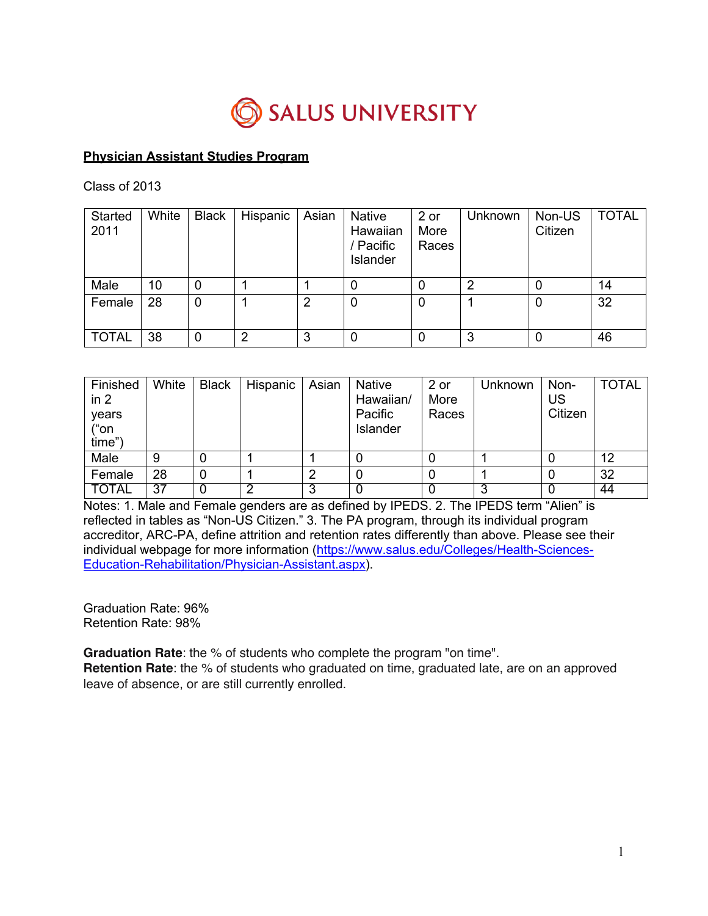

## **Physician Assistant Studies Program**

Class of 2013

| <b>Started</b><br>2011 | White | <b>Black</b> | Hispanic | Asian | Native<br>Hawaiian<br>/ Pacific<br>Islander | 2 or<br>More<br>Races | Unknown | Non-US<br>Citizen | <b>TOTAL</b> |
|------------------------|-------|--------------|----------|-------|---------------------------------------------|-----------------------|---------|-------------------|--------------|
| Male                   | 10    | 0            |          |       |                                             |                       | റ       | 0                 | 14           |
| Female                 | 28    | $\mathbf 0$  |          | 2     |                                             |                       |         | 0                 | 32           |
| <b>TOTAL</b>           | 38    | 0            | ◠        | 3     |                                             |                       | 3       | 0                 | 46           |

| Finished<br>in 2<br>years<br>("on<br>time" | White | <b>Black</b> | Hispanic | Asian | <b>Native</b><br>Hawaiian/<br>Pacific<br>Islander | 2 or<br>More<br>Races | Unknown | Non-<br>US<br>Citizen | <b>TOTAL</b> |
|--------------------------------------------|-------|--------------|----------|-------|---------------------------------------------------|-----------------------|---------|-----------------------|--------------|
| Male                                       | 9     |              |          |       |                                                   |                       |         |                       | 12           |
| Female                                     | 28    |              |          | ⌒     |                                                   |                       |         |                       | 32           |
| TOTAL                                      | 37    |              |          |       |                                                   |                       |         |                       | 44           |

Notes: 1. Male and Female genders are as defined by IPEDS. 2. The IPEDS term "Alien" is reflected in tables as "Non-US Citizen." 3. The PA program, through its individual program accreditor, ARC-PA, define attrition and retention rates differently than above. Please see their individual webpage for more information (https://www.salus.edu/Colleges/Health-Sciences-Education-Rehabilitation/Physician-Assistant.aspx).

Graduation Rate: 96% Retention Rate: 98%

**Graduation Rate**: the % of students who complete the program "on time".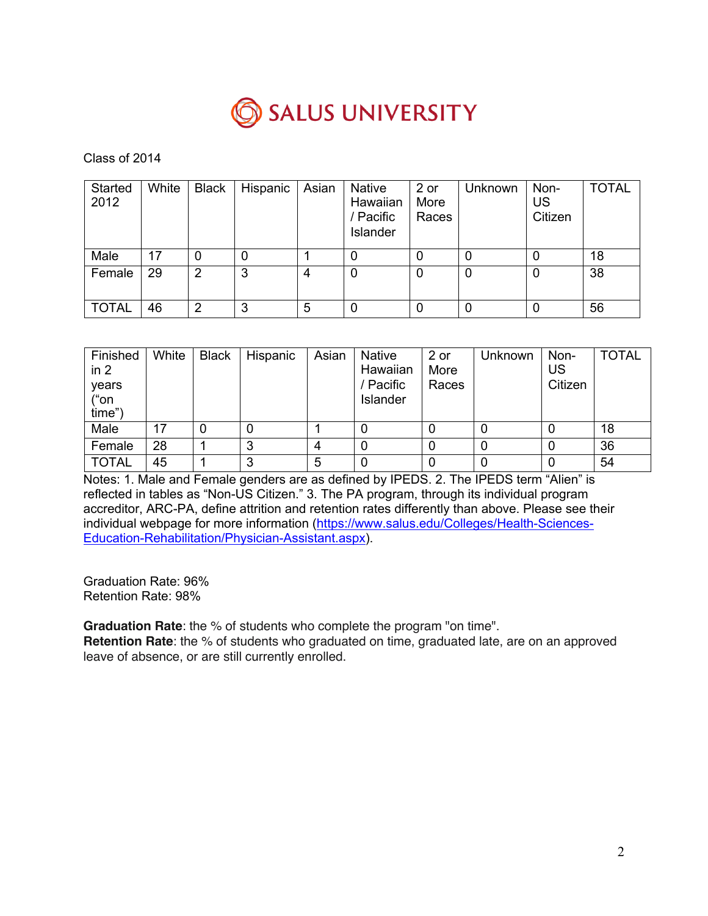

| Started<br>2012 | White | <b>Black</b> | Hispanic | Asian | <b>Native</b><br>Hawaiian<br>/ Pacific<br>Islander | 2 or<br>More<br>Races | Unknown | Non-<br>US<br>Citizen | <b>TOTAL</b> |
|-----------------|-------|--------------|----------|-------|----------------------------------------------------|-----------------------|---------|-----------------------|--------------|
| Male            | 17    | 0            | 0        |       |                                                    | 0                     | 0       | 0                     | 18           |
| Female          | 29    | 2            | 3        | 4     | 0                                                  | 0                     | 0       | $\Omega$              | 38           |
| <b>TOTAL</b>    | 46    | 2            | 3        | 5     |                                                    | 0                     | 0       | 0                     | 56           |

| Finished<br>in 2<br>years<br>("on<br>time") | White | <b>Black</b> | Hispanic | Asian | <b>Native</b><br>Hawaiian<br>/ Pacific<br>Islander | 2 or<br>More<br>Races | Unknown | Non-<br>US<br>Citizen | <b>TOTAL</b> |
|---------------------------------------------|-------|--------------|----------|-------|----------------------------------------------------|-----------------------|---------|-----------------------|--------------|
| Male                                        | 17    |              |          |       |                                                    |                       |         |                       | 18           |
| Female                                      | 28    |              | ົ        | 4     |                                                    |                       |         |                       | 36           |
| <b>TOTAL</b>                                | 45    |              | 3        | 5     |                                                    |                       |         | 0                     | 54           |

Notes: 1. Male and Female genders are as defined by IPEDS. 2. The IPEDS term "Alien" is reflected in tables as "Non-US Citizen." 3. The PA program, through its individual program accreditor, ARC-PA, define attrition and retention rates differently than above. Please see their individual webpage for more information (https://www.salus.edu/Colleges/Health-Sciences-Education-Rehabilitation/Physician-Assistant.aspx).

Graduation Rate: 96% Retention Rate: 98%

**Graduation Rate**: the % of students who complete the program "on time".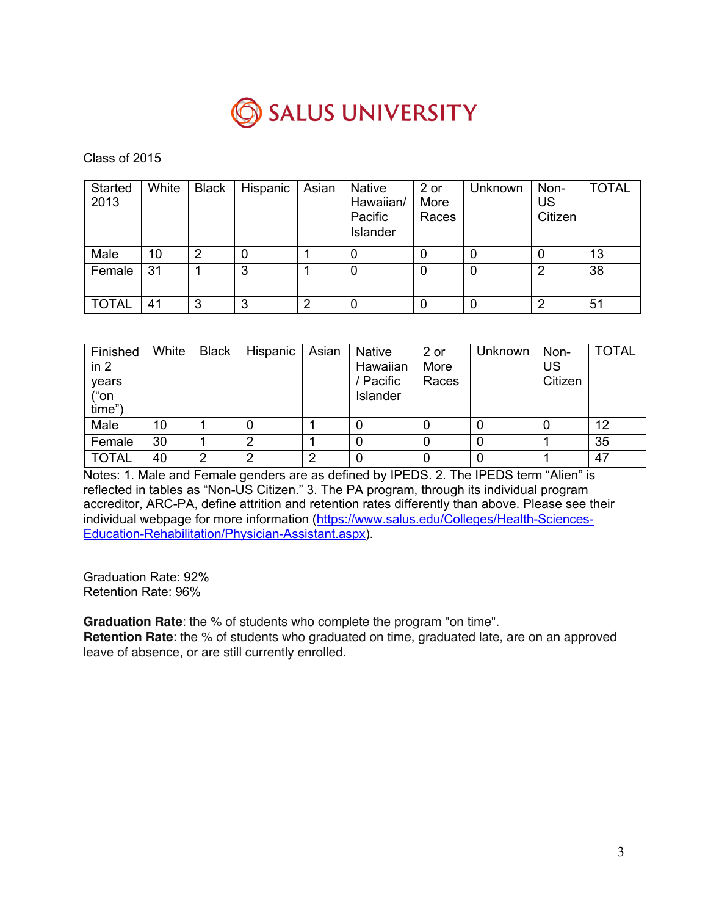

| <b>Started</b><br>2013 | White | <b>Black</b> | Hispanic | Asian | <b>Native</b><br>Hawaiian/<br>Pacific<br>Islander | 2 or<br>More<br>Races | Unknown | Non-<br>US<br>Citizen | <b>TOTAL</b> |
|------------------------|-------|--------------|----------|-------|---------------------------------------------------|-----------------------|---------|-----------------------|--------------|
| Male                   | 10    | 2            | 0        |       |                                                   |                       | 0       |                       | 13           |
| Female                 | 31    |              | 3        |       | 0                                                 | 0                     | 0       | 2                     | 38           |
| <b>TOTAL</b>           | 41    | 3            | 3        | 2     | 0                                                 |                       | 0       | 2                     | 51           |

| Finished<br>in 2<br>years<br>("on<br>time") | White | <b>Black</b> | Hispanic | Asian | <b>Native</b><br>Hawaiian<br>/ Pacific<br>Islander | 2 or<br>More<br>Races | Unknown | Non-<br>US<br>Citizen | <b>TOTAL</b> |
|---------------------------------------------|-------|--------------|----------|-------|----------------------------------------------------|-----------------------|---------|-----------------------|--------------|
| Male                                        | 10    |              |          |       |                                                    |                       |         |                       | 12           |
| Female                                      | 30    |              |          |       |                                                    |                       |         |                       | 35           |
| <b>TOTAL</b>                                | 40    | ◠            | ◠        | 2     | 0                                                  |                       | 0       |                       | 47           |

Notes: 1. Male and Female genders are as defined by IPEDS. 2. The IPEDS term "Alien" is reflected in tables as "Non-US Citizen." 3. The PA program, through its individual program accreditor, ARC-PA, define attrition and retention rates differently than above. Please see their individual webpage for more information (https://www.salus.edu/Colleges/Health-Sciences-Education-Rehabilitation/Physician-Assistant.aspx).

Graduation Rate: 92% Retention Rate: 96%

**Graduation Rate**: the % of students who complete the program "on time".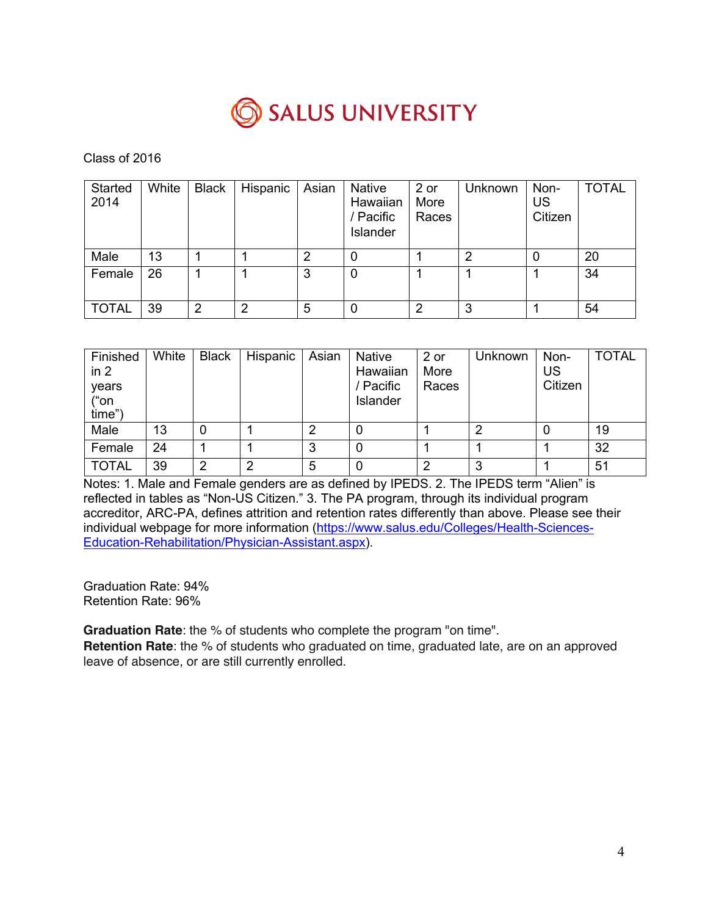

| Started<br>2014 | White | <b>Black</b> | Hispanic | Asian | <b>Native</b><br>Hawaiian<br>/ Pacific<br>Islander | 2 or<br>More<br>Races | Unknown | Non-<br>US<br>Citizen | <b>TOTAL</b> |
|-----------------|-------|--------------|----------|-------|----------------------------------------------------|-----------------------|---------|-----------------------|--------------|
| Male            | 13    |              |          | 2     |                                                    |                       | ◠       |                       | 20           |
| Female          | 26    |              |          | 3     | 0                                                  |                       |         |                       | 34           |
| <b>TOTAL</b>    | 39    | 2            | ◠        | 5     |                                                    | ႒                     | 3       |                       | 54           |

| Finished<br>in 2<br>years<br>("on<br>time") | White | <b>Black</b> | Hispanic | Asian | <b>Native</b><br>Hawaiian<br>/ Pacific<br>Islander | 2 or<br>More<br>Races | Unknown | Non-<br>US<br>Citizen | <b>TOTAL</b> |
|---------------------------------------------|-------|--------------|----------|-------|----------------------------------------------------|-----------------------|---------|-----------------------|--------------|
| Male                                        | 13    |              |          | 2     | O                                                  |                       | ≘       |                       | 19           |
| Female                                      | 24    |              |          | 3     | O                                                  |                       |         |                       | 32           |
| <b>TOTAL</b>                                | 39    | າ            | ⌒        | 5     | 0                                                  | ≘                     | 3       |                       | 51           |

Notes: 1. Male and Female genders are as defined by IPEDS. 2. The IPEDS term "Alien" is reflected in tables as "Non-US Citizen." 3. The PA program, through its individual program accreditor, ARC-PA, defines attrition and retention rates differently than above. Please see their individual webpage for more information (https://www.salus.edu/Colleges/Health-Sciences-Education-Rehabilitation/Physician-Assistant.aspx).

Graduation Rate: 94% Retention Rate: 96%

**Graduation Rate**: the % of students who complete the program "on time".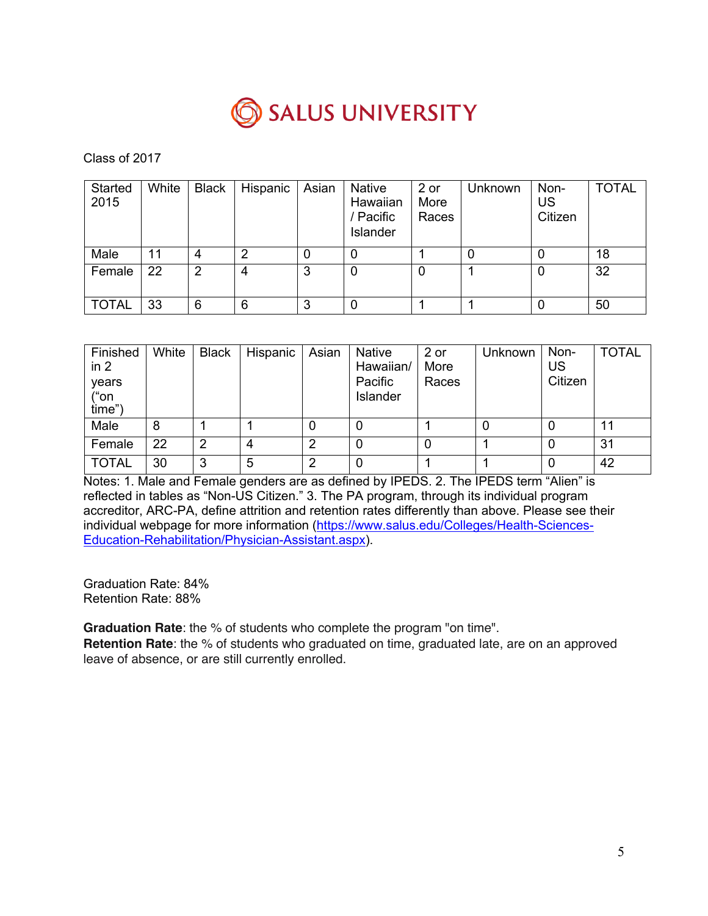

| Started<br>2015 | White | <b>Black</b> | Hispanic | Asian | <b>Native</b><br>Hawaiian<br>/ Pacific<br>Islander | 2 or<br>More<br>Races | <b>Unknown</b> | Non-<br>US<br>Citizen | <b>TOTAL</b> |
|-----------------|-------|--------------|----------|-------|----------------------------------------------------|-----------------------|----------------|-----------------------|--------------|
| Male            | 11    | 4            | ◠        | 0     |                                                    |                       |                |                       | 18           |
| Female          | 22    | 2            | 4        | 3     | 0                                                  |                       |                | 0                     | 32           |
| <b>TOTAL</b>    | 33    | 6            | 6        | 3     | 0                                                  |                       |                | 0                     | 50           |

| Finished<br>in 2<br>years<br>("on<br>time") | White | <b>Black</b> | Hispanic | Asian | Native<br>Hawaiian/<br>Pacific<br>Islander | 2 or<br>More<br>Races | Unknown | Non-<br>US<br>Citizen | <b>TOTAL</b> |
|---------------------------------------------|-------|--------------|----------|-------|--------------------------------------------|-----------------------|---------|-----------------------|--------------|
| Male                                        | 8     |              |          |       | 0                                          |                       |         |                       |              |
| Female                                      | 22    | 2            | 4        |       | 0                                          |                       |         |                       | 31           |
| <b>TOTAL</b>                                | 30    | 3            | 5        | ≘     | 0                                          |                       |         |                       | 42           |

Notes: 1. Male and Female genders are as defined by IPEDS. 2. The IPEDS term "Alien" is reflected in tables as "Non-US Citizen." 3. The PA program, through its individual program accreditor, ARC-PA, define attrition and retention rates differently than above. Please see their individual webpage for more information (https://www.salus.edu/Colleges/Health-Sciences-Education-Rehabilitation/Physician-Assistant.aspx).

Graduation Rate: 84% Retention Rate: 88%

**Graduation Rate**: the % of students who complete the program "on time".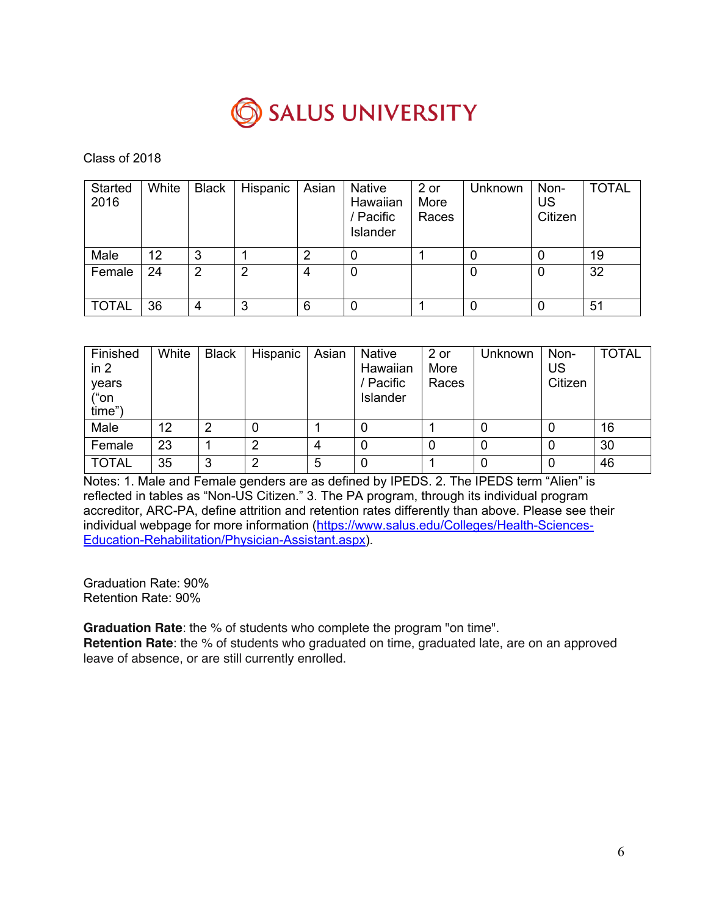

| Started<br>2016 | White | <b>Black</b>   | Hispanic | Asian | <b>Native</b><br>Hawaiian<br>/ Pacific<br>Islander | 2 or<br>More<br>Races | Unknown | Non-<br>US<br>Citizen | <b>TOTAL</b> |
|-----------------|-------|----------------|----------|-------|----------------------------------------------------|-----------------------|---------|-----------------------|--------------|
| Male            | 12    | 3              |          | っ     | 0                                                  |                       |         | 0                     | 19           |
| Female          | 24    | $\overline{2}$ | 2        | 4     | 0                                                  |                       |         | 0                     | 32           |
| <b>TOTAL</b>    | 36    | 4              | 3        | 6     | 0                                                  |                       |         | 0                     | 51           |

| Finished<br>in 2<br>years<br>("on<br>time") | White | <b>Black</b> | Hispanic | Asian | <b>Native</b><br>Hawaiian<br>/ Pacific<br>Islander | 2 or<br>More<br>Races | Unknown | Non-<br>US<br>Citizen | <b>TOTAL</b> |
|---------------------------------------------|-------|--------------|----------|-------|----------------------------------------------------|-----------------------|---------|-----------------------|--------------|
| Male                                        | 12    | 2            | 0        |       |                                                    |                       |         |                       | 16           |
| Female                                      | 23    |              | າ        | 4     |                                                    |                       |         | 0                     | 30           |
| <b>TOTAL</b>                                | 35    | 3            | າ        | 5     |                                                    |                       |         | 0                     | 46           |

Notes: 1. Male and Female genders are as defined by IPEDS. 2. The IPEDS term "Alien" is reflected in tables as "Non-US Citizen." 3. The PA program, through its individual program accreditor, ARC-PA, define attrition and retention rates differently than above. Please see their individual webpage for more information (https://www.salus.edu/Colleges/Health-Sciences-Education-Rehabilitation/Physician-Assistant.aspx).

Graduation Rate: 90% Retention Rate: 90%

**Graduation Rate**: the % of students who complete the program "on time".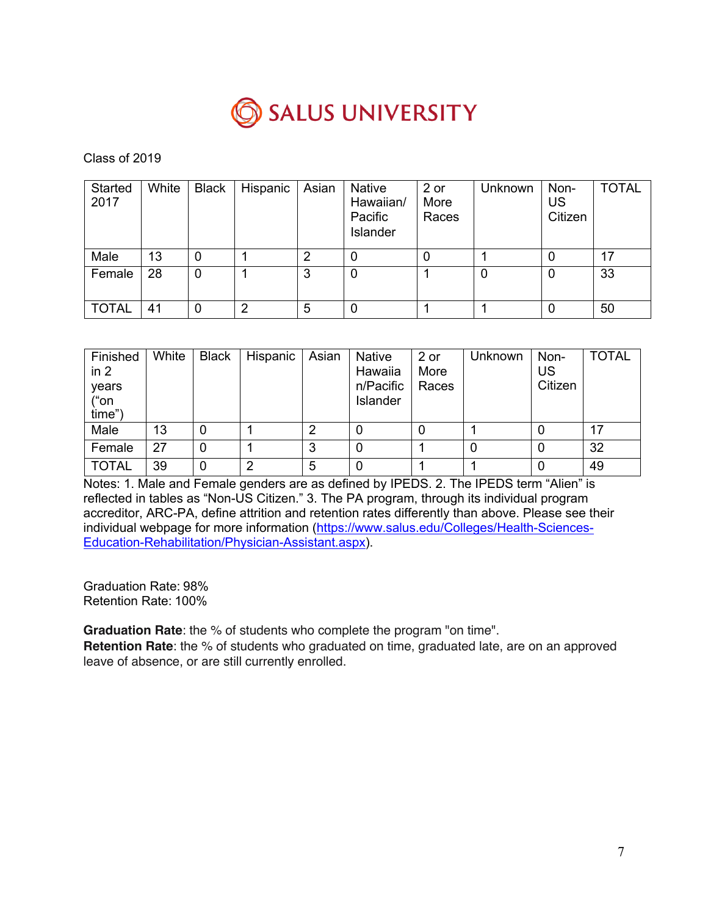

| Started<br>2017 | White | <b>Black</b> | Hispanic | Asian | <b>Native</b><br>Hawaiian/<br>Pacific<br>Islander | 2 or<br>More<br>Races | Unknown | Non-<br>US<br>Citizen | <b>TOTAL</b> |
|-----------------|-------|--------------|----------|-------|---------------------------------------------------|-----------------------|---------|-----------------------|--------------|
| Male            | 13    | 0            |          | 2     | 0                                                 | 0                     |         | 0                     | 17           |
| Female          | 28    | 0            |          | 3     | 0                                                 |                       |         | 0                     | 33           |
| <b>TOTAL</b>    | 41    | 0            | っ        | 5     | 0                                                 |                       |         | 0                     | 50           |

| Finished<br>in 2<br>years<br>("on<br>time") | White | <b>Black</b> | Hispanic | Asian | <b>Native</b><br>Hawaiia<br>n/Pacific<br>Islander | 2 or<br>More<br>Races | Unknown | Non-<br>US<br>Citizen | <b>TOTAL</b> |
|---------------------------------------------|-------|--------------|----------|-------|---------------------------------------------------|-----------------------|---------|-----------------------|--------------|
| Male                                        | 13    |              |          | ≘     |                                                   | 0                     |         | 0                     | 17           |
| Female                                      | 27    |              |          | 3     |                                                   |                       | 0       | 0                     | 32           |
| <b>TOTAL</b>                                | 39    |              | 2        | 5     |                                                   |                       |         | 0                     | 49           |

Notes: 1. Male and Female genders are as defined by IPEDS. 2. The IPEDS term "Alien" is reflected in tables as "Non-US Citizen." 3. The PA program, through its individual program accreditor, ARC-PA, define attrition and retention rates differently than above. Please see their individual webpage for more information (https://www.salus.edu/Colleges/Health-Sciences-Education-Rehabilitation/Physician-Assistant.aspx).

Graduation Rate: 98% Retention Rate: 100%

**Graduation Rate**: the % of students who complete the program "on time".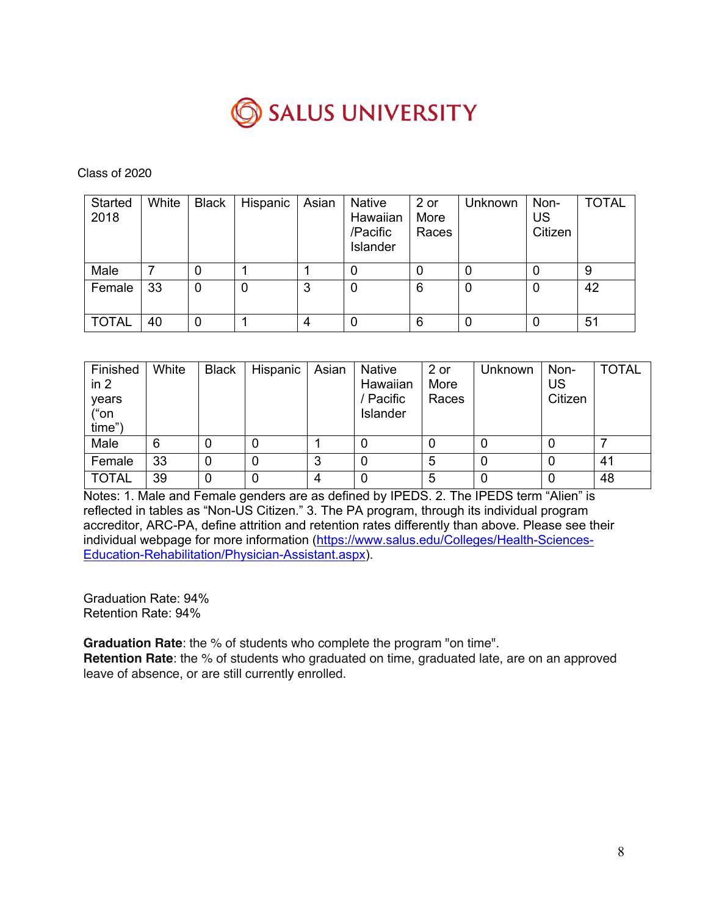

| Started<br>2018 | White | <b>Black</b> | Hispanic | Asian | <b>Native</b><br>Hawaiian<br>/Pacific<br>Islander | 2 or<br>More<br>Races | Unknown | Non-<br>US<br>Citizen | <b>TOTAL</b> |
|-----------------|-------|--------------|----------|-------|---------------------------------------------------|-----------------------|---------|-----------------------|--------------|
| Male            |       | 0            |          |       |                                                   | 0                     |         | 0                     | 9            |
| Female          | 33    | 0            |          | 3     | 0                                                 | 6                     | 0       | 0                     | 42           |
| <b>TOTAL</b>    | 40    | 0            |          | 4     |                                                   | 6                     |         |                       | 51           |

| Finished<br>in 2<br>years<br>("on<br>time") | White | <b>Black</b> | Hispanic | Asian  | <b>Native</b><br>Hawaiian<br>Pacific<br>Islander | 2 or<br>More<br>Races | <b>Unknown</b> | Non-<br>US<br>Citizen | <b>TOTAL</b> |
|---------------------------------------------|-------|--------------|----------|--------|--------------------------------------------------|-----------------------|----------------|-----------------------|--------------|
| Male                                        | 6     |              | 0        |        |                                                  |                       | 0              |                       |              |
| Female                                      | 33    | 0            | 0        | ◠<br>P |                                                  | 5                     | 0              | 0                     | 41           |
| <b>TOTAL</b>                                | 39    | 0            | 0        | 4      |                                                  | 5                     | $\Omega$       | 0                     | 48           |

Notes: 1. Male and Female genders are as defined by IPEDS. 2. The IPEDS term "Alien" is reflected in tables as "Non-US Citizen." 3. The PA program, through its individual program accreditor, ARC-PA, define attrition and retention rates differently than above. Please see their individual webpage for more information (https://www.salus.edu/Colleges/Health-Sciences-Education-Rehabilitation/Physician-Assistant.aspx).

Graduation Rate: 94% Retention Rate: 94%

**Graduation Rate**: the % of students who complete the program "on time".